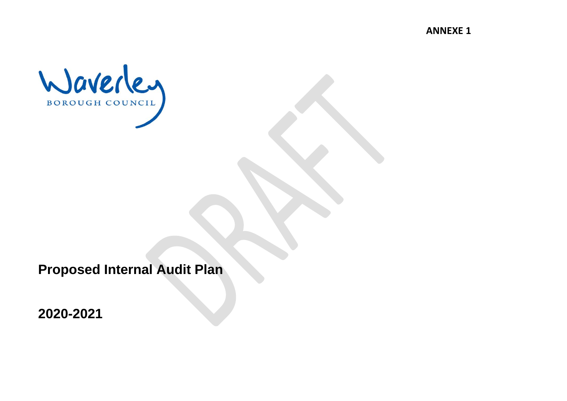**ANNEXE 1**



**Proposed Internal Audit Plan** 

**2020-2021**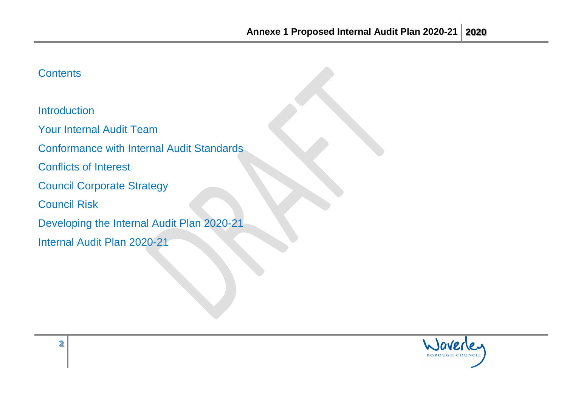# **Contents**

**Introduction** 

Your Internal Audit Team

Conformance with Internal Audit Standards

Conflicts of Interest

Council Corporate Strategy

Council Risk

Developing the Internal Audit Plan 2020-21

Internal Audit Plan 2020-21

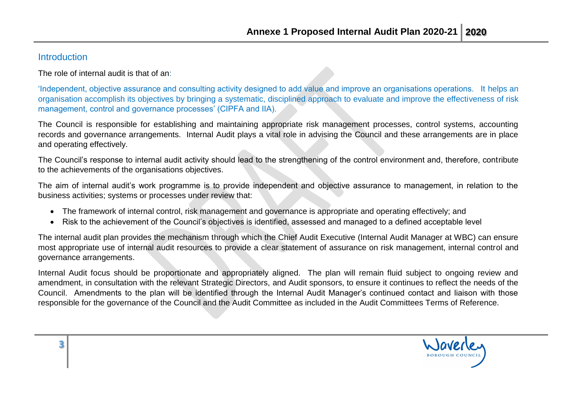#### **Introduction**

The role of internal audit is that of an:

'Independent, objective assurance and consulting activity designed to add value and improve an organisations operations. It helps an organisation accomplish its objectives by bringing a systematic, disciplined approach to evaluate and improve the effectiveness of risk management, control and governance processes' (CIPFA and IIA).

The Council is responsible for establishing and maintaining appropriate risk management processes, control systems, accounting records and governance arrangements. Internal Audit plays a vital role in advising the Council and these arrangements are in place and operating effectively.

The Council's response to internal audit activity should lead to the strengthening of the control environment and, therefore, contribute to the achievements of the organisations objectives.

The aim of internal audit's work programme is to provide independent and objective assurance to management, in relation to the business activities; systems or processes under review that:

- The framework of internal control, risk management and governance is appropriate and operating effectively; and
- Risk to the achievement of the Council's objectives is identified, assessed and managed to a defined acceptable level

The internal audit plan provides the mechanism through which the Chief Audit Executive (Internal Audit Manager at WBC) can ensure most appropriate use of internal audit resources to provide a clear statement of assurance on risk management, internal control and governance arrangements.

Internal Audit focus should be proportionate and appropriately aligned. The plan will remain fluid subject to ongoing review and amendment, in consultation with the relevant Strategic Directors, and Audit sponsors, to ensure it continues to reflect the needs of the Council. Amendments to the plan will be identified through the Internal Audit Manager's continued contact and liaison with those responsible for the governance of the Council and the Audit Committee as included in the Audit Committees Terms of Reference.

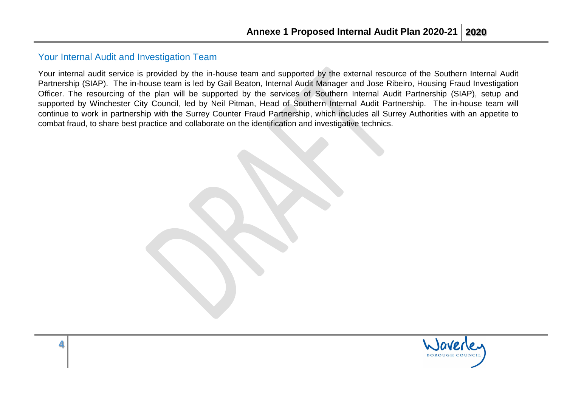#### Your Internal Audit and Investigation Team

Your internal audit service is provided by the in-house team and supported by the external resource of the Southern Internal Audit Partnership (SIAP). The in-house team is led by Gail Beaton, Internal Audit Manager and Jose Ribeiro, Housing Fraud Investigation Officer. The resourcing of the plan will be supported by the services of Southern Internal Audit Partnership (SIAP), setup and supported by Winchester City Council, led by Neil Pitman, Head of Southern Internal Audit Partnership. The in-house team will continue to work in partnership with the Surrey Counter Fraud Partnership, which includes all Surrey Authorities with an appetite to combat fraud, to share best practice and collaborate on the identification and investigative technics.

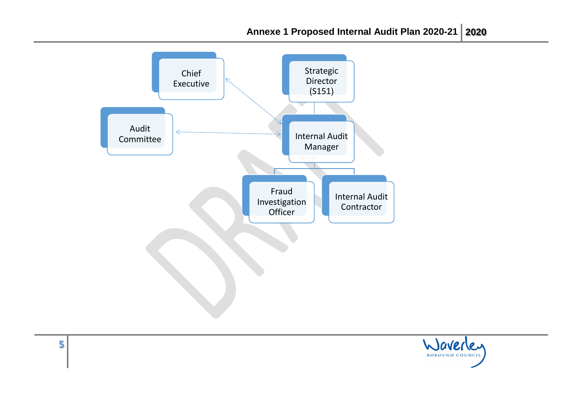

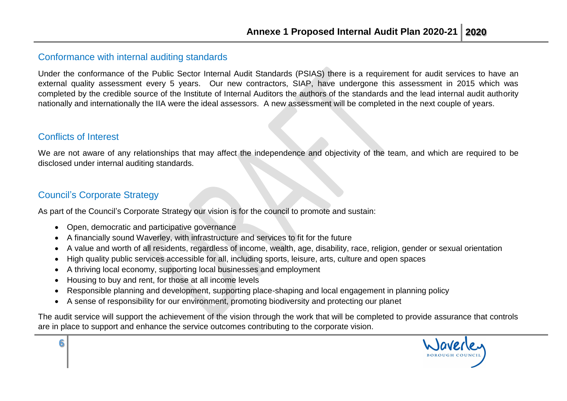#### Conformance with internal auditing standards

Under the conformance of the Public Sector Internal Audit Standards (PSIAS) there is a requirement for audit services to have an external quality assessment every 5 years. Our new contractors, SIAP, have undergone this assessment in 2015 which was completed by the credible source of the Institute of Internal Auditors the authors of the standards and the lead internal audit authority nationally and internationally the IIA were the ideal assessors. A new assessment will be completed in the next couple of years.

#### Conflicts of Interest

**6**

We are not aware of any relationships that may affect the independence and objectivity of the team, and which are required to be disclosed under internal auditing standards.

## Council's Corporate Strategy

As part of the Council's Corporate Strategy our vision is for the council to promote and sustain:

- Open, democratic and participative governance
- A financially sound Waverley, with infrastructure and services to fit for the future
- A value and worth of all residents, regardless of income, wealth, age, disability, race, religion, gender or sexual orientation
- High quality public services accessible for all, including sports, leisure, arts, culture and open spaces
- A thriving local economy, supporting local businesses and employment
- Housing to buy and rent, for those at all income levels
- Responsible planning and development, supporting place-shaping and local engagement in planning policy
- A sense of responsibility for our environment, promoting biodiversity and protecting our planet

The audit service will support the achievement of the vision through the work that will be completed to provide assurance that controls are in place to support and enhance the service outcomes contributing to the corporate vision.

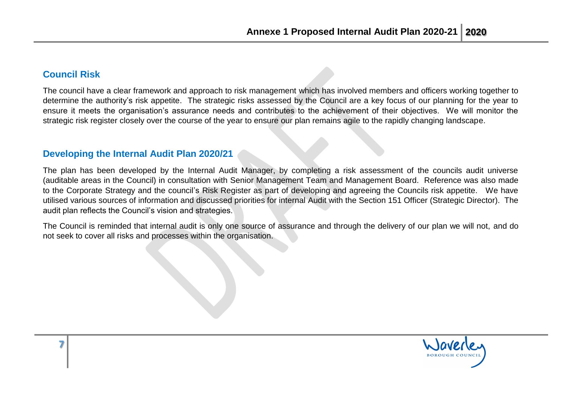### **Council Risk**

**7**

The council have a clear framework and approach to risk management which has involved members and officers working together to determine the authority's risk appetite. The strategic risks assessed by the Council are a key focus of our planning for the year to ensure it meets the organisation's assurance needs and contributes to the achievement of their objectives. We will monitor the strategic risk register closely over the course of the year to ensure our plan remains agile to the rapidly changing landscape.

#### **Developing the Internal Audit Plan 2020/21**

The plan has been developed by the Internal Audit Manager, by completing a risk assessment of the councils audit universe (auditable areas in the Council) in consultation with Senior Management Team and Management Board. Reference was also made to the Corporate Strategy and the council's Risk Register as part of developing and agreeing the Councils risk appetite. We have utilised various sources of information and discussed priorities for internal Audit with the Section 151 Officer (Strategic Director). The audit plan reflects the Council's vision and strategies.

The Council is reminded that internal audit is only one source of assurance and through the delivery of our plan we will not, and do not seek to cover all risks and processes within the organisation.

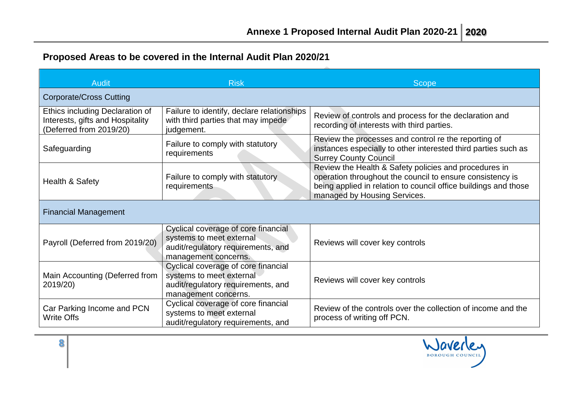# **Proposed Areas to be covered in the Internal Audit Plan 2020/21**

| <b>Audit</b>                                                                                          | <b>Risk</b>                                                                                                                   | <b>Scope</b>                                                                                                                                                                                                          |  |  |
|-------------------------------------------------------------------------------------------------------|-------------------------------------------------------------------------------------------------------------------------------|-----------------------------------------------------------------------------------------------------------------------------------------------------------------------------------------------------------------------|--|--|
| <b>Corporate/Cross Cutting</b>                                                                        |                                                                                                                               |                                                                                                                                                                                                                       |  |  |
| <b>Ethics including Declaration of</b><br>Interests, gifts and Hospitality<br>(Deferred from 2019/20) | Failure to identify, declare relationships<br>with third parties that may impede<br>judgement.                                | Review of controls and process for the declaration and<br>recording of interests with third parties.                                                                                                                  |  |  |
| Safeguarding                                                                                          | Failure to comply with statutory<br>requirements                                                                              | Review the processes and control re the reporting of<br>instances especially to other interested third parties such as<br><b>Surrey County Council</b>                                                                |  |  |
| Health & Safety                                                                                       | Failure to comply with statutory<br>requirements                                                                              | Review the Health & Safety policies and procedures in<br>operation throughout the council to ensure consistency is<br>being applied in relation to council office buildings and those<br>managed by Housing Services. |  |  |
| <b>Financial Management</b>                                                                           |                                                                                                                               |                                                                                                                                                                                                                       |  |  |
| Payroll (Deferred from 2019/20)                                                                       | Cyclical coverage of core financial<br>systems to meet external<br>audit/regulatory requirements, and<br>management concerns. | Reviews will cover key controls                                                                                                                                                                                       |  |  |
| Main Accounting (Deferred from<br>2019/20)                                                            | Cyclical coverage of core financial<br>systems to meet external<br>audit/regulatory requirements, and<br>management concerns. | Reviews will cover key controls                                                                                                                                                                                       |  |  |
| Car Parking Income and PCN<br><b>Write Offs</b>                                                       | Cyclical coverage of core financial<br>systems to meet external<br>audit/regulatory requirements, and                         | Review of the controls over the collection of income and the<br>process of writing off PCN.                                                                                                                           |  |  |



**8**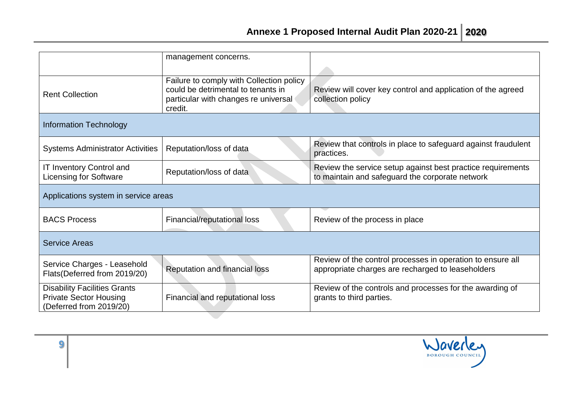|                                                                                                 | management concerns.                                                                                                              |                                                                                                                 |  |  |
|-------------------------------------------------------------------------------------------------|-----------------------------------------------------------------------------------------------------------------------------------|-----------------------------------------------------------------------------------------------------------------|--|--|
| <b>Rent Collection</b>                                                                          | Failure to comply with Collection policy<br>could be detrimental to tenants in<br>particular with changes re universal<br>credit. | Review will cover key control and application of the agreed<br>collection policy                                |  |  |
| <b>Information Technology</b>                                                                   |                                                                                                                                   |                                                                                                                 |  |  |
| <b>Systems Administrator Activities</b>                                                         | Reputation/loss of data                                                                                                           | Review that controls in place to safeguard against fraudulent<br>practices.                                     |  |  |
| <b>IT Inventory Control and</b><br><b>Licensing for Software</b>                                | Reputation/loss of data                                                                                                           | Review the service setup against best practice requirements<br>to maintain and safeguard the corporate network  |  |  |
| Applications system in service areas                                                            |                                                                                                                                   |                                                                                                                 |  |  |
| <b>BACS Process</b>                                                                             | Financial/reputational loss                                                                                                       | Review of the process in place                                                                                  |  |  |
| <b>Service Areas</b>                                                                            |                                                                                                                                   |                                                                                                                 |  |  |
| Service Charges - Leasehold<br>Flats(Deferred from 2019/20)                                     | Reputation and financial loss                                                                                                     | Review of the control processes in operation to ensure all<br>appropriate charges are recharged to leaseholders |  |  |
| <b>Disability Facilities Grants</b><br><b>Private Sector Housing</b><br>(Deferred from 2019/20) | Financial and reputational loss                                                                                                   | Review of the controls and processes for the awarding of<br>grants to third parties.                            |  |  |

**9**

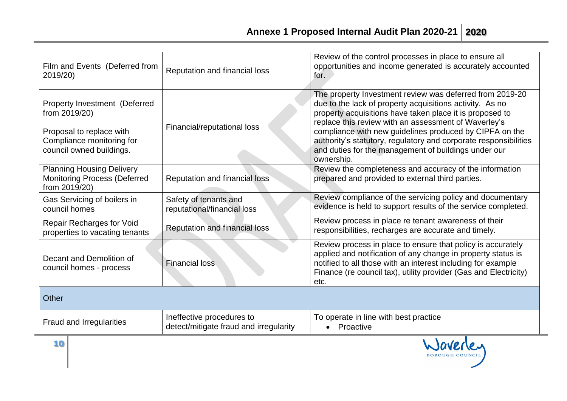BOROUGH COUNCIL

| Film and Events (Deferred from<br>2019/20)                                                                                          | Reputation and financial loss                                       | Review of the control processes in place to ensure all<br>opportunities and income generated is accurately accounted<br>for.                                                                                                                                                                                                                                                                                                                  |
|-------------------------------------------------------------------------------------------------------------------------------------|---------------------------------------------------------------------|-----------------------------------------------------------------------------------------------------------------------------------------------------------------------------------------------------------------------------------------------------------------------------------------------------------------------------------------------------------------------------------------------------------------------------------------------|
| Property Investment (Deferred<br>from 2019/20)<br>Proposal to replace with<br>Compliance monitoring for<br>council owned buildings. | Financial/reputational loss                                         | The property Investment review was deferred from 2019-20<br>due to the lack of property acquisitions activity. As no<br>property acquisitions have taken place it is proposed to<br>replace this review with an assessment of Waverley's<br>compliance with new guidelines produced by CIPFA on the<br>authority's statutory, regulatory and corporate responsibilities<br>and duties for the management of buildings under our<br>ownership. |
| <b>Planning Housing Delivery</b><br><b>Monitoring Process (Deferred</b><br>from 2019/20)                                            | <b>Reputation and financial loss</b>                                | Review the completeness and accuracy of the information<br>prepared and provided to external third parties.                                                                                                                                                                                                                                                                                                                                   |
| Gas Servicing of boilers in<br>council homes                                                                                        | Safety of tenants and<br>reputational/financial loss                | Review compliance of the servicing policy and documentary<br>evidence is held to support results of the service completed.                                                                                                                                                                                                                                                                                                                    |
| Repair Recharges for Void<br>properties to vacating tenants                                                                         | <b>Reputation and financial loss</b>                                | Review process in place re tenant awareness of their<br>responsibilities, recharges are accurate and timely.                                                                                                                                                                                                                                                                                                                                  |
| Decant and Demolition of<br>council homes - process                                                                                 | <b>Financial loss</b>                                               | Review process in place to ensure that policy is accurately<br>applied and notification of any change in property status is<br>notified to all those with an interest including for example<br>Finance (re council tax), utility provider (Gas and Electricity)<br>etc.                                                                                                                                                                       |
| Other                                                                                                                               |                                                                     |                                                                                                                                                                                                                                                                                                                                                                                                                                               |
| <b>Fraud and Irregularities</b>                                                                                                     | Ineffective procedures to<br>detect/mitigate fraud and irregularity | To operate in line with best practice<br>• Proactive                                                                                                                                                                                                                                                                                                                                                                                          |
| 10                                                                                                                                  |                                                                     |                                                                                                                                                                                                                                                                                                                                                                                                                                               |